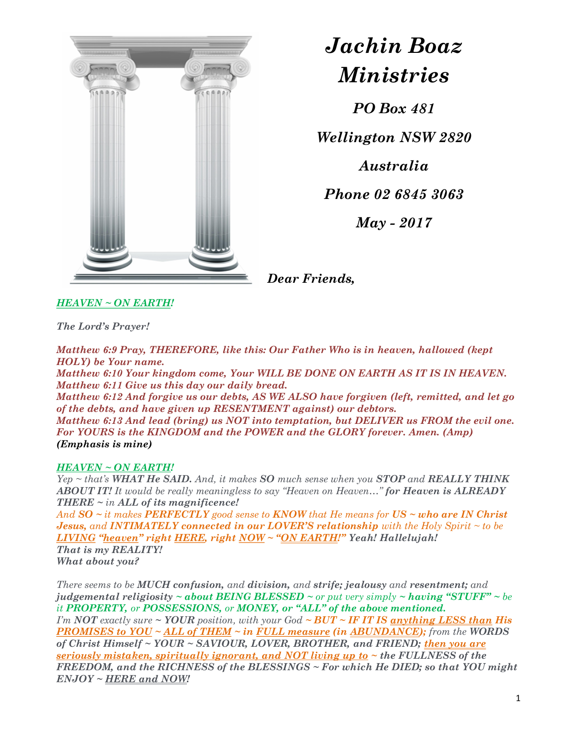

## Jachin Boaz Ministries

PO Box 481

Wellington NSW 2820

Australia

Phone 02 6845 3063

May - 2017

Dear Friends,

HEAVEN ~ ON EARTH!

The Lord's Prayer!

Matthew 6:9 Pray, THEREFORE, like this: Our Father Who is in heaven, hallowed (kept HOLY) be Your name.

Matthew 6:10 Your kingdom come, Your WILL BE DONE ON EARTH AS IT IS IN HEAVEN. Matthew 6:11 Give us this day our daily bread.

Matthew 6:12 And forgive us our debts, AS WE ALSO have forgiven (left, remitted, and let go of the debts, and have given up RESENTMENT against) our debtors.

Matthew 6:13 And lead (bring) us NOT into temptation, but DELIVER us FROM the evil one. For YOURS is the KINGDOM and the POWER and the GLORY forever. Amen. (Amp) (Emphasis is mine)

## HEAVEN ~ ON EARTH!

 $Yep \sim that's \, WHAT \, He \, SAID$ , And, it makes  $SO$  much sense when you  $STOP$  and  $REALLY$  THINK ABOUT IT! It would be really meaningless to say "Heaven on Heaven..." for Heaven is ALREADY THERE  $\sim$  in ALL of its magnificence!

And  $SO \sim it$  makes PERFECTLY good sense to KNOW that He means for  $US \sim who$  are IN Christ **Jesus,** and **INTIMATELY** connected in our **LOVER'S** relationship with the Holy Spirit  $\sim$  to be LIVING "heaven" right HERE, right NOW ~ "ON EARTH!" Yeah! Hallelujah! That is my REALITY! What about you?

There seems to be MUCH confusion, and division, and strife; jealousy and resentment; and judgemental religiosity  $\sim$  about BEING BLESSED  $\sim$  or put very simply  $\sim$  having "STUFF"  $\sim$  be it PROPERTY, or POSSESSIONS, or MONEY, or "ALL" of the above mentioned. I'm NOT exactly sure  $\sim$  YOUR position, with your God  $\sim$  BUT  $\sim$  IF IT IS anything LESS than His **PROMISES to YOU ~ ALL of THEM ~ in FULL measure (in ABUNDANCE);** from the WORDS of Christ Himself ~ YOUR ~ SAVIOUR, LOVER, BROTHER, and FRIEND; then you are seriously mistaken, spiritually ignorant, and NOT living up to  $\sim$  the FULLNESS of the FREEDOM, and the RICHNESS of the BLESSINGS ~ For which He DIED; so that YOU might ENJOY ~ HERE and NOW!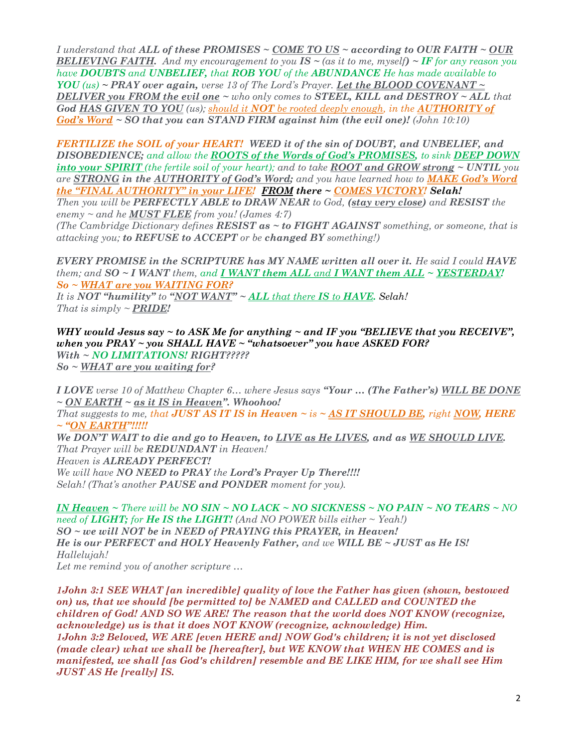I understand that ALL of these PROMISES  $\sim$  COME TO US  $\sim$  according to OUR FAITH  $\sim$  OUR **BELIEVING FAITH.** And my encouragement to you  $IS \sim$  (as it to me, myself)  $\sim$  IF for any reason you have **DOUBTS** and **UNBELIEF**, that **ROB YOU** of the **ABUNDANCE** He has made available to YOU (us)  $\sim$  PRAY over again, verse 13 of The Lord's Prayer. Let the BLOOD COVENANT  $\sim$ DELIVER you FROM the evil one  $\sim$  who only comes to STEEL, KILL and DESTROY  $\sim$  ALL that God HAS GIVEN TO YOU (us); should it NOT be rooted deeply enough, in the AUTHORITY of God's Word  $\sim$  SO that you can STAND FIRM against him (the evil one)! (John 10:10)

FERTILIZE the SOIL of your HEART! WEED it of the sin of DOUBT, and UNBELIEF, and DISOBEDIENCE; and allow the ROOTS of the Words of God's PROMISES, to sink DEEP DOWN into your SPIRIT (the fertile soil of your heart); and to take ROOT and GROW strong  $\sim$  UNTIL you are STRONG in the AUTHORITY of God's Word; and you have learned how to MAKE God's Word  $the "FINAL AUTHORITY" in your LIFE! FROM there ~ COMES VICTORY! Selah!$ 

Then you will be PERFECTLY ABLE to DRAW NEAR to God, (stay very close) and RESIST the enemy  $\sim$  and he **MUST FLEE** from you! (James 4:7)

(The Cambridge Dictionary defines **RESIST** as  $\sim$  to **FIGHT AGAINST** something, or someone, that is attacking you; to REFUSE to ACCEPT or be changed BY something!)

EVERY PROMISE in the SCRIPTURE has MY NAME written all over it. He said I could HAVE them; and  $SO \sim I$  WANT them, and I WANT them ALL and I WANT them ALL  $\sim$  YESTERDAY! So ~ WHAT are you WAITING FOR?

It is NOT "humility" to "NOT WANT"  $\sim$  ALL that there IS to HAVE. Selah! That is simply  $\sim$  **PRIDE!** 

WHY would Jesus say  $\sim$  to ASK Me for anything  $\sim$  and IF you "BELIEVE that you RECEIVE", when you  $PRAY \sim$  you SHALL HAVE  $\sim$  "whatsoever" you have ASKED FOR? With ~ NO LIMITATIONS! RIGHT?????  $So \sim \text{WHAT}$  are you waiting for?

I LOVE verse 10 of Matthew Chapter 6... where Jesus says "Your ... (The Father's) WILL BE DONE  $\sim$  ON EARTH  $\sim$  as it IS in Heaven". Whoohoo! That suggests to me, that JUST AS IT IS in Heaven  $\sim$  is  $\sim$  AS IT SHOULD BE, right NOW, HERE  $\sim$  "ON EARTH"!!!!! We DON'T WAIT to die and go to Heaven, to LIVE as He LIVES, and as WE SHOULD LIVE. That Prayer will be **REDUNDANT** in Heaven! Heaven is **ALREADY PERFECT!** We will have NO NEED to PRAY the Lord's Prayer Up There!!!! Selah! (That's another **PAUSE and PONDER** moment for you).

IN Heaven  $\sim$  There will be NO SIN  $\sim$  NO LACK  $\sim$  NO SICKNESS  $\sim$  NO PAIN  $\sim$  NO TEARS  $\sim$  NO need of **LIGHT;** for **He IS the LIGHT!** (And NO POWER bills either  $\sim$  Yeah!) SO ~ we will NOT be in NEED of PRAYING this PRAYER, in Heaven! He is our PERFECT and HOLY Heavenly Father, and we WILL BE  $\sim$  JUST as He IS! Hallelujah! Let me remind you of another scripture …

1John 3:1 SEE WHAT [an incredible] quality of love the Father has given (shown, bestowed on) us, that we should [be permitted to] be NAMED and CALLED and COUNTED the children of God! AND SO WE ARE! The reason that the world does NOT KNOW (recognize, acknowledge) us is that it does NOT KNOW (recognize, acknowledge) Him. 1John 3:2 Beloved, WE ARE [even HERE and] NOW God's children; it is not yet disclosed (made clear) what we shall be [hereafter], but WE KNOW that WHEN HE COMES and is manifested, we shall [as God's children] resemble and BE LIKE HIM, for we shall see Him JUST AS He [really] IS.